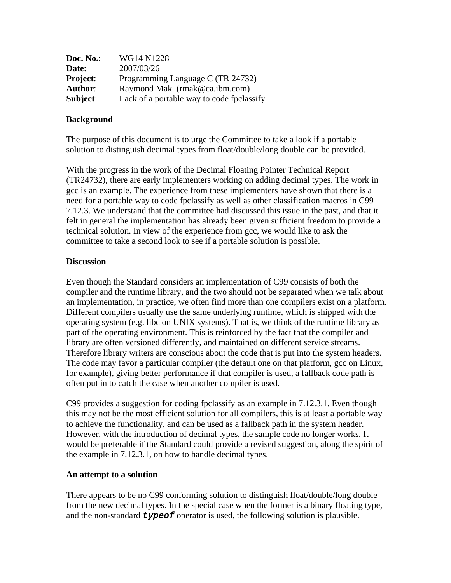| Doc. No.:       | WG14 N1228                                |
|-----------------|-------------------------------------------|
| Date:           | 2007/03/26                                |
| <b>Project:</b> | Programming Language C (TR 24732)         |
| Author:         | Raymond Mak (rmak@ca.ibm.com)             |
| Subject:        | Lack of a portable way to code fpclassify |

## **Background**

The purpose of this document is to urge the Committee to take a look if a portable solution to distinguish decimal types from float/double/long double can be provided.

With the progress in the work of the Decimal Floating Pointer Technical Report (TR24732), there are early implementers working on adding decimal types. The work in gcc is an example. The experience from these implementers have shown that there is a need for a portable way to code fpclassify as well as other classification macros in C99 7.12.3. We understand that the committee had discussed this issue in the past, and that it felt in general the implementation has already been given sufficient freedom to provide a technical solution. In view of the experience from gcc, we would like to ask the committee to take a second look to see if a portable solution is possible.

## **Discussion**

Even though the Standard considers an implementation of C99 consists of both the compiler and the runtime library, and the two should not be separated when we talk about an implementation, in practice, we often find more than one compilers exist on a platform. Different compilers usually use the same underlying runtime, which is shipped with the operating system (e.g. libc on UNIX systems). That is, we think of the runtime library as part of the operating environment. This is reinforced by the fact that the compiler and library are often versioned differently, and maintained on different service streams. Therefore library writers are conscious about the code that is put into the system headers. The code may favor a particular compiler (the default one on that platform, gcc on Linux, for example), giving better performance if that compiler is used, a fallback code path is often put in to catch the case when another compiler is used.

C99 provides a suggestion for coding fpclassify as an example in 7.12.3.1. Even though this may not be the most efficient solution for all compilers, this is at least a portable way to achieve the functionality, and can be used as a fallback path in the system header. However, with the introduction of decimal types, the sample code no longer works. It would be preferable if the Standard could provide a revised suggestion, along the spirit of the example in 7.12.3.1, on how to handle decimal types.

## **An attempt to a solution**

There appears to be no C99 conforming solution to distinguish float/double/long double from the new decimal types. In the special case when the former is a binary floating type, and the non-standard *typeof* operator is used, the following solution is plausible.